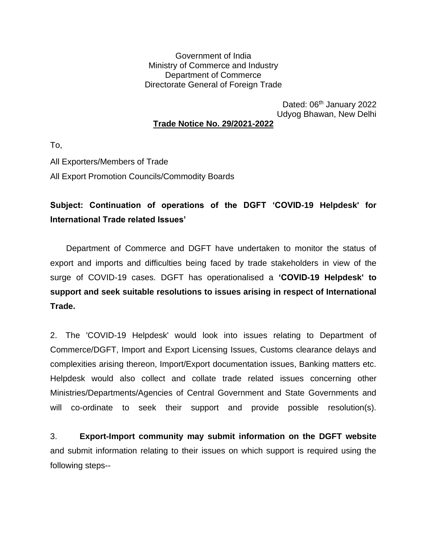Government of India Ministry of Commerce and Industry Department of Commerce Directorate General of Foreign Trade

Dated: 06<sup>th</sup> January 2022 Udyog Bhawan, New Delhi **Trade Notice No. 29/2021-2022**

To,

All Exporters/Members of Trade All Export Promotion Councils/Commodity Boards

## **Subject: Continuation of operations of the DGFT 'COVID-19 Helpdesk' for International Trade related Issues'**

 Department of Commerce and DGFT have undertaken to monitor the status of export and imports and difficulties being faced by trade stakeholders in view of the surge of COVID-19 cases. DGFT has operationalised a **'COVID-19 Helpdesk' to support and seek suitable resolutions to issues arising in respect of International Trade.**

2. The 'COVID-19 Helpdesk' would look into issues relating to Department of Commerce/DGFT, Import and Export Licensing Issues, Customs clearance delays and complexities arising thereon, Import/Export documentation issues, Banking matters etc. Helpdesk would also collect and collate trade related issues concerning other Ministries/Departments/Agencies of Central Government and State Governments and will co-ordinate to seek their support and provide possible resolution(s).

3. **Export-Import community may submit information on the DGFT website** and submit information relating to their issues on which support is required using the following steps--